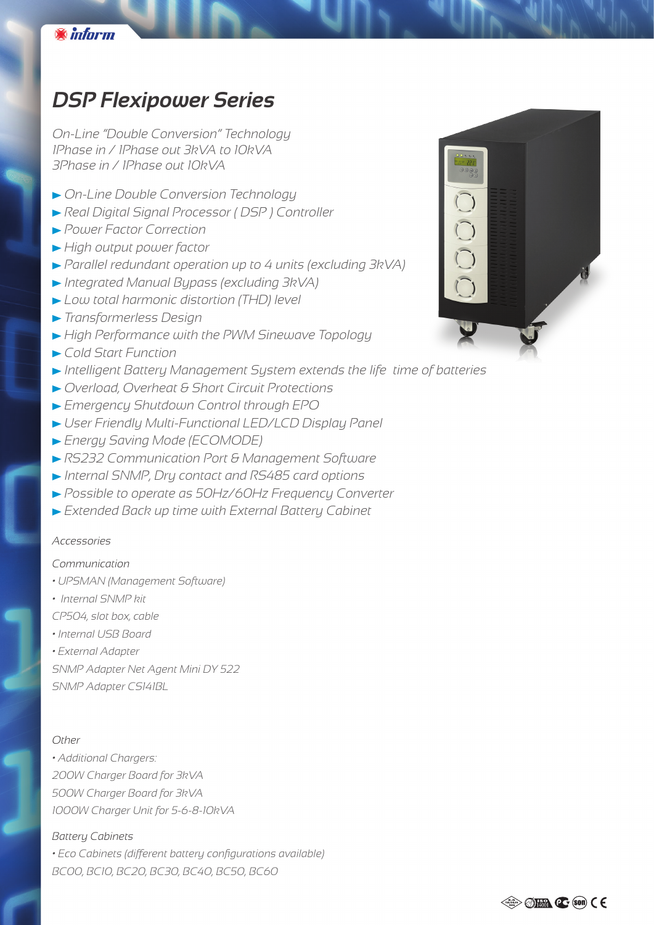### **Winform**

## *DSP Flexipower Series*

*On-Line "Double Conversion" Technology 1Phase in / 1Phase out 3kVA to 10kVA 3Phase in / 1Phase out 10kVA*

- *On-Line Double Conversion Technology*
- *Real Digital Signal Processor ( DSP ) Controller*
- *Power Factor Correction*
- *High output power factor*
- *Parallel redundant operation up to 4 units (excluding 3kVA)*
- *Integrated Manual Bypass (excluding 3kVA)*
- *Low total harmonic distortion (THD) level*
- *Transformerless Design*
- *High Performance with the PWM Sinewave Topology*
- *Cold Start Function*
- *Intelligent Battery Management System extends the life time of batteries*
- *Overload, Overheat & Short Circuit Protections*
- *Emergency Shutdown Control through EPO*
- *User Friendly Multi-Functional LED/LCD Display Panel*
- *Energy Saving Mode (ECOMODE)*
- *RS232 Communication Port & Management Software*
- *Internal SNMP, Dry contact and RS485 card options*
- *Possible to operate as 50Hz/60Hz Frequency Converter*
- *Extended Back up time with External Battery Cabinet*

#### *Accessories*

#### *Communication*

- *UPSMAN (Management Software)*
- *Internal SNMP kit*
- *CP504, slot box, cable*
- *Internal USB Board*
- *External Adapter*

*SNMP Adapter Net Agent Mini DY 522 SNMP Adapter CS141BL*

#### *Other*

*• Additional Chargers: 200W Charger Board for 3kVA 500W Charger Board for 3kVA 1000W Charger Unit for 5-6-8-10kVA*

#### *Battery Cabinets*

*• Eco Cabinets (different battery configurations available) BC00, BC10, BC20, BC30, BC40, BC50, BC60*